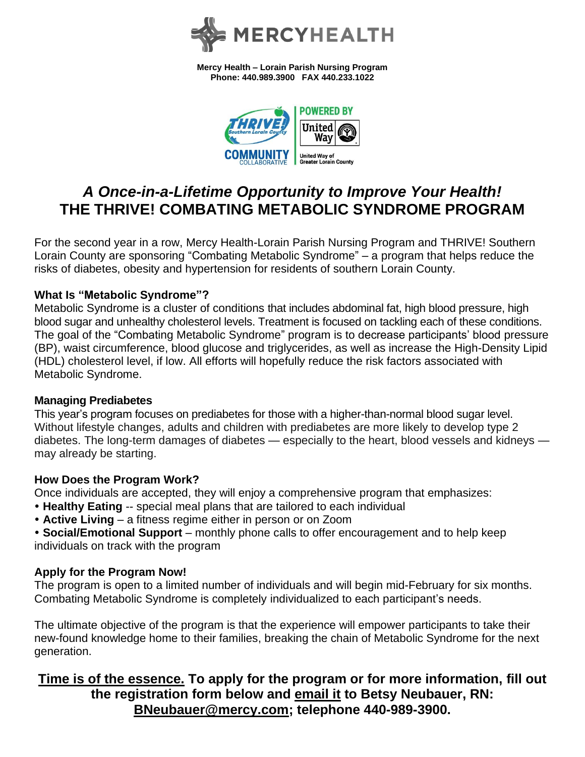

**Mercy Health – Lorain Parish Nursing Program Phone: 440.989.3900 FAX 440.233.1022**



# *A Once-in-a-Lifetime Opportunity to Improve Your Health!* **THE THRIVE! COMBATING METABOLIC SYNDROME PROGRAM**

For the second year in a row, Mercy Health-Lorain Parish Nursing Program and THRIVE! Southern Lorain County are sponsoring "Combating Metabolic Syndrome" – a program that helps reduce the risks of diabetes, obesity and hypertension for residents of southern Lorain County.

## **What Is "Metabolic Syndrome"?**

Metabolic Syndrome is a cluster of conditions that includes abdominal fat, high blood pressure, high blood sugar and unhealthy cholesterol levels. Treatment is focused on tackling each of these conditions. The goal of the "Combating Metabolic Syndrome" program is to decrease participants' blood pressure (BP), waist circumference, blood glucose and triglycerides, as well as increase the High-Density Lipid (HDL) cholesterol level, if low. All efforts will hopefully reduce the risk factors associated with Metabolic Syndrome.

## **Managing Prediabetes**

This year's program focuses on prediabetes for those with a higher-than-normal blood sugar level. Without lifestyle changes, adults and children with prediabetes are more likely to develop type 2 diabetes. The long-term damages of diabetes — especially to the heart, blood vessels and kidneys may already be starting.

## **How Does the Program Work?**

Once individuals are accepted, they will enjoy a comprehensive program that emphasizes:

- **Healthy Eating** -- special meal plans that are tailored to each individual
- **Active Living** a fitness regime either in person or on Zoom
- **Social/Emotional Support** monthly phone calls to offer encouragement and to help keep individuals on track with the program

## **Apply for the Program Now!**

The program is open to a limited number of individuals and will begin mid-February for six months. Combating Metabolic Syndrome is completely individualized to each participant's needs.

The ultimate objective of the program is that the experience will empower participants to take their new-found knowledge home to their families, breaking the chain of Metabolic Syndrome for the next generation.

## **Time is of the essence. To apply for the program or for more information, fill out the registration form below and email it to Betsy Neubauer, RN: [BNeubauer@mercy.com;](mailto:BNeubauer@mercy.com) telephone 440-989-3900.**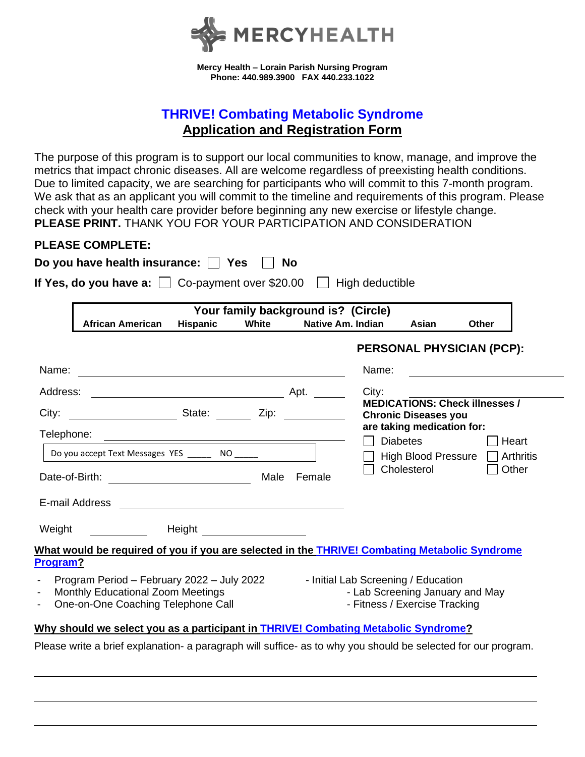

**Mercy Health – Lorain Parish Nursing Program Phone: 440.989.3900 FAX 440.233.1022**

## **THRIVE! Combating Metabolic Syndrome Application and Registration Form**

The purpose of this program is to support our local communities to know, manage, and improve the metrics that impact chronic diseases. All are welcome regardless of preexisting health conditions. Due to limited capacity, we are searching for participants who will commit to this 7-month program. We ask that as an applicant you will commit to the timeline and requirements of this program. Please check with your health care provider before beginning any new exercise or lifestyle change. **PLEASE PRINT.** THANK YOU FOR YOUR PARTICIPATION AND CONSIDERATION

## **PLEASE COMPLETE:**

| Your family background is? (Circle)                                                                                                                       |                 |       |                                                                  |                   |                                               |                                       |
|-----------------------------------------------------------------------------------------------------------------------------------------------------------|-----------------|-------|------------------------------------------------------------------|-------------------|-----------------------------------------------|---------------------------------------|
| <b>African American</b>                                                                                                                                   | <b>Hispanic</b> | White |                                                                  | Native Am. Indian | Asian                                         | Other                                 |
|                                                                                                                                                           |                 |       |                                                                  |                   |                                               | <b>PERSONAL PHYSICIAN (PCP):</b>      |
|                                                                                                                                                           |                 |       |                                                                  | Name:             |                                               |                                       |
|                                                                                                                                                           |                 |       |                                                                  | City:             |                                               |                                       |
|                                                                                                                                                           |                 |       |                                                                  |                   | <b>Chronic Diseases you</b>                   | <b>MEDICATIONS: Check illnesses /</b> |
| Telephone:                                                                                                                                                |                 |       |                                                                  | $\Box$            | are taking medication for:<br><b>Diabetes</b> | <b>O</b> Heart                        |
|                                                                                                                                                           |                 |       |                                                                  |                   |                                               | High Blood Pressure   Arthritis       |
| Date-of-Birth: __________________________________                                                                                                         |                 |       | Male Female                                                      |                   | Cholesterol                                   | Other                                 |
|                                                                                                                                                           |                 |       |                                                                  |                   |                                               |                                       |
| Weight ____________  Height _________________                                                                                                             |                 |       |                                                                  |                   |                                               |                                       |
| What would be required of you if you are selected in the THRIVE! Combating Metabolic Syndrome<br>Program?                                                 |                 |       |                                                                  |                   |                                               |                                       |
| Program Period - February 2022 - July 2022 - Initial Lab Screening / Education<br>Monthly Educational Zoom Meetings<br>One-on-One Coaching Telephone Call |                 |       | - Lab Screening January and May<br>- Fitness / Exercise Tracking |                   |                                               |                                       |
| Why should we select you as a participant in THRIVE! Combating Metabolic Syndrome?                                                                        |                 |       |                                                                  |                   |                                               |                                       |

Please write a brief explanation- a paragraph will suffice- as to why you should be selected for our program.